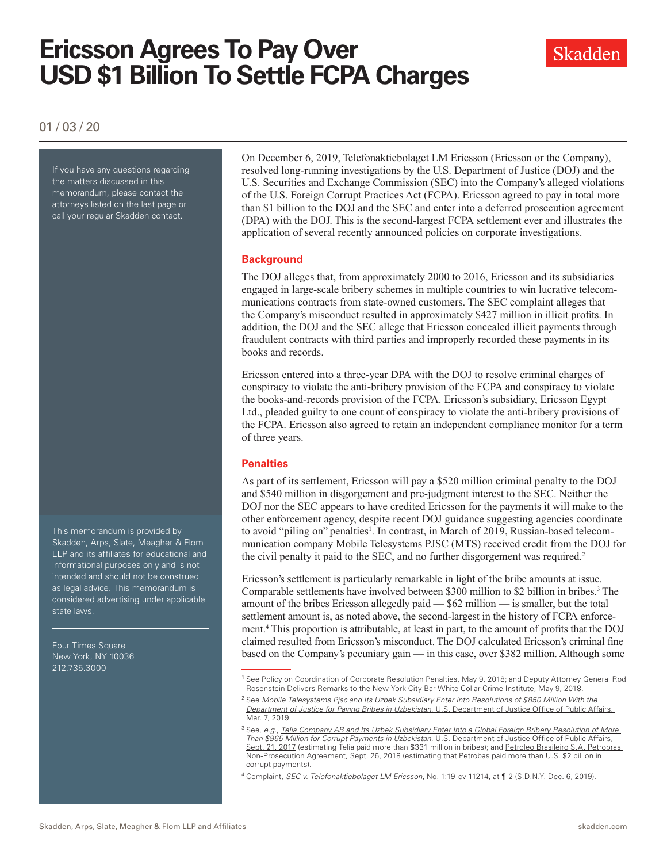# **Ericsson Agrees To Pay Over USD \$1 Billion To Settle FCPA Charges**



01 / 03 / 20

If you have any questions regarding the matters discussed in this memorandum, please contact the attorneys listed on the last page or call your regular Skadden contact.

This memorandum is provided by Skadden, Arps, Slate, Meagher & Flom LLP and its affiliates for educational and informational purposes only and is not intended and should not be construed as legal advice. This memorandum is considered advertising under applicable state laws.

Four Times Square New York, NY 10036 212.735.3000

On December 6, 2019, Telefonaktiebolaget LM Ericsson (Ericsson or the Company), resolved long-running investigations by the U.S. Department of Justice (DOJ) and the U.S. Securities and Exchange Commission (SEC) into the Company's alleged violations of the U.S. Foreign Corrupt Practices Act (FCPA). Ericsson agreed to pay in total more than \$1 billion to the DOJ and the SEC and enter into a deferred prosecution agreement (DPA) with the DOJ. This is the second-largest FCPA settlement ever and illustrates the application of several recently announced policies on corporate investigations.

#### **Background**

The DOJ alleges that, from approximately 2000 to 2016, Ericsson and its subsidiaries engaged in large-scale bribery schemes in multiple countries to win lucrative telecommunications contracts from state-owned customers. The SEC complaint alleges that the Company's misconduct resulted in approximately \$427 million in illicit profits. In addition, the DOJ and the SEC allege that Ericsson concealed illicit payments through fraudulent contracts with third parties and improperly recorded these payments in its books and records.

Ericsson entered into a three-year DPA with the DOJ to resolve criminal charges of conspiracy to violate the anti-bribery provision of the FCPA and conspiracy to violate the books-and-records provision of the FCPA. Ericsson's subsidiary, Ericsson Egypt Ltd., pleaded guilty to one count of conspiracy to violate the anti-bribery provisions of the FCPA. Ericsson also agreed to retain an independent compliance monitor for a term of three years.

#### **Penalties**

As part of its settlement, Ericsson will pay a \$520 million criminal penalty to the DOJ and \$540 million in disgorgement and pre-judgment interest to the SEC. Neither the DOJ nor the SEC appears to have credited Ericsson for the payments it will make to the other enforcement agency, despite recent DOJ guidance suggesting agencies coordinate to avoid "piling on" penalties<sup>1</sup>. In contrast, in March of 2019, Russian-based telecommunication company Mobile Telesystems PJSC (MTS) received credit from the DOJ for the civil penalty it paid to the SEC, and no further disgorgement was required.<sup>2</sup>

Ericsson's settlement is particularly remarkable in light of the bribe amounts at issue. Comparable settlements have involved between \$300 million to \$2 billion in bribes.<sup>3</sup> The amount of the bribes Ericsson allegedly paid — \$62 million — is smaller, but the total settlement amount is, as noted above, the second-largest in the history of FCPA enforcement.4 This proportion is attributable, at least in part, to the amount of profits that the DOJ claimed resulted from Ericsson's misconduct. The DOJ calculated Ericsson's criminal fine based on the Company's pecuniary gain — in this case, over \$382 million. Although some

<sup>&</sup>lt;sup>1</sup> See [Policy on Coordination of Corporate Resolution Penalties, May 9, 2018](http://www.skadden.com/-/media/files/publications/2020/01/ericsson-agrees-to-pay-over-usd-1-billion/fn1.pdf); and Deputy Attorney General Rod [Rosenstein Delivers Remarks to the New York City Bar White Collar Crime Institute, May 9, 2018.](https://www.justice.gov/opa/speech/deputy-attorney-general-rod-rosenstein-delivers-remarks-new-york-city-bar-white-collar)

<sup>2</sup> See *[Mobile Telesystems Pjsc and Its Uzbek Subsidiary Enter Into Resolutions of \\$850 Million With the](https://www.justice.gov/opa/pr/mobile-telesystems-pjsc-and-its-uzbek-subsidiary-enter-resolutions-850-million-department)  [Department of Justice for Paying Bribes in Uzbekistan](https://www.justice.gov/opa/pr/mobile-telesystems-pjsc-and-its-uzbek-subsidiary-enter-resolutions-850-million-department)*, U.S. Department of Justice Office of Public Affairs, [Mar. 7, 2019.](https://www.justice.gov/opa/pr/mobile-telesystems-pjsc-and-its-uzbek-subsidiary-enter-resolutions-850-million-department)

<sup>3</sup> See, *e.g.*, *[Telia Company AB and Its Uzbek Subsidiary Enter Into a Global Foreign Bribery Resolution of More](https://www.justice.gov/opa/pr/telia-company-ab-and-its-uzbek-subsidiary-enter-global-foreign-bribery-resolution-more-965)  [Than \\$965 Million for Corrupt Payments in Uzbekistan](https://www.justice.gov/opa/pr/telia-company-ab-and-its-uzbek-subsidiary-enter-global-foreign-bribery-resolution-more-965)*, U.S. Department of Justice Office of Public Affairs, [Sept. 21, 2017](https://www.justice.gov/opa/pr/telia-company-ab-and-its-uzbek-subsidiary-enter-global-foreign-bribery-resolution-more-965) (estimating Telia paid more than \$331 million in bribes); and Petroleo Brasileiro S.A. Petrobras [Non-Prosecution Agreement, Sept. 26, 2018](http://www.skadden.com/-/media/files/publications/2020/01/ericsson-agrees-to-pay-over-usd-1-billion/fn3.pdf) (estimating that Petrobas paid more than U.S. \$2 billion in corrupt payments).

<sup>4</sup> Complaint, *SEC v. Telefonaktiebolaget LM Ericsson*, No. 1:19-cv-11214, at ¶ 2 (S.D.N.Y. Dec. 6, 2019).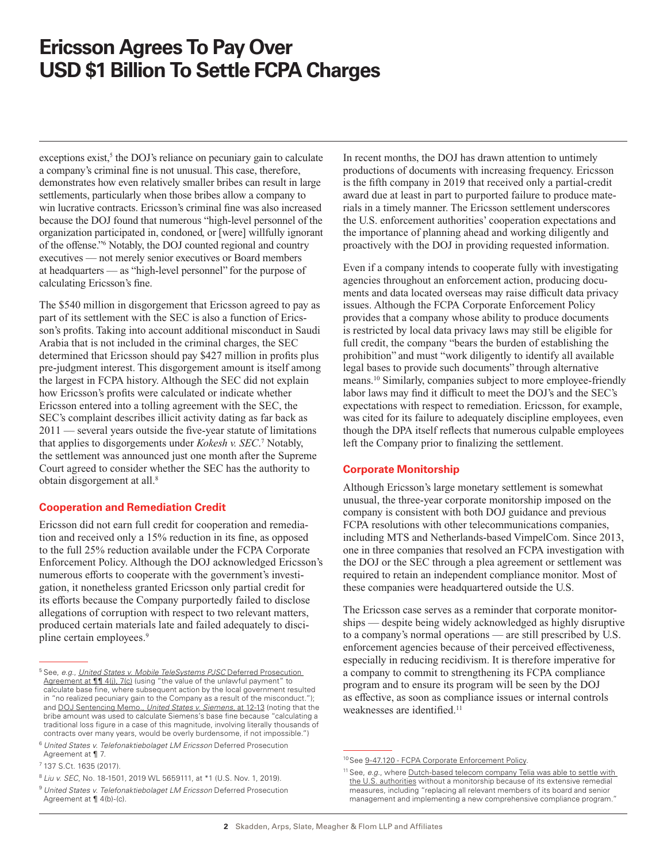### **Ericsson Agrees To Pay Over USD \$1 Billion To Settle FCPA Charges**

 $exceptions exist<sub>5</sub>$ <sup>5</sup> the DOJ's reliance on pecuniary gain to calculate a company's criminal fine is not unusual. This case, therefore, demonstrates how even relatively smaller bribes can result in large settlements, particularly when those bribes allow a company to win lucrative contracts. Ericsson's criminal fine was also increased because the DOJ found that numerous "high-level personnel of the organization participated in, condoned, or [were] willfully ignorant of the offense."6 Notably, the DOJ counted regional and country executives — not merely senior executives or Board members at headquarters — as "high-level personnel" for the purpose of calculating Ericsson's fine.

The \$540 million in disgorgement that Ericsson agreed to pay as part of its settlement with the SEC is also a function of Ericsson's profits. Taking into account additional misconduct in Saudi Arabia that is not included in the criminal charges, the SEC determined that Ericsson should pay \$427 million in profits plus pre-judgment interest. This disgorgement amount is itself among the largest in FCPA history. Although the SEC did not explain how Ericsson's profits were calculated or indicate whether Ericsson entered into a tolling agreement with the SEC, the SEC's complaint describes illicit activity dating as far back as 2011 — several years outside the five-year statute of limitations that applies to disgorgements under *Kokesh v. SEC*. 7 Notably, the settlement was announced just one month after the Supreme Court agreed to consider whether the SEC has the authority to obtain disgorgement at all.8

#### **Cooperation and Remediation Credit**

Ericsson did not earn full credit for cooperation and remediation and received only a 15% reduction in its fine, as opposed to the full 25% reduction available under the FCPA Corporate Enforcement Policy. Although the DOJ acknowledged Ericsson's numerous efforts to cooperate with the government's investigation, it nonetheless granted Ericsson only partial credit for its efforts because the Company purportedly failed to disclose allegations of corruption with respect to two relevant matters, produced certain materials late and failed adequately to discipline certain employees.9

<sup>7</sup> 137 S.Ct. 1635 (2017).

<sup>8</sup> *Liu v. SEC*, No. 18-1501, 2019 WL 5659111, at \*1 (U.S. Nov. 1, 2019).

In recent months, the DOJ has drawn attention to untimely productions of documents with increasing frequency. Ericsson is the fifth company in 2019 that received only a partial-credit award due at least in part to purported failure to produce materials in a timely manner. The Ericsson settlement underscores the U.S. enforcement authorities' cooperation expectations and the importance of planning ahead and working diligently and proactively with the DOJ in providing requested information.

Even if a company intends to cooperate fully with investigating agencies throughout an enforcement action, producing documents and data located overseas may raise difficult data privacy issues. Although the FCPA Corporate Enforcement Policy provides that a company whose ability to produce documents is restricted by local data privacy laws may still be eligible for full credit, the company "bears the burden of establishing the prohibition" and must "work diligently to identify all available legal bases to provide such documents" through alternative means.10 Similarly, companies subject to more employee-friendly labor laws may find it difficult to meet the DOJ's and the SEC's expectations with respect to remediation. Ericsson, for example, was cited for its failure to adequately discipline employees, even though the DPA itself reflects that numerous culpable employees left the Company prior to finalizing the settlement.

#### **Corporate Monitorship**

Although Ericsson's large monetary settlement is somewhat unusual, the three-year corporate monitorship imposed on the company is consistent with both DOJ guidance and previous FCPA resolutions with other telecommunications companies, including MTS and Netherlands-based VimpelCom. Since 2013, one in three companies that resolved an FCPA investigation with the DOJ or the SEC through a plea agreement or settlement was required to retain an independent compliance monitor. Most of these companies were headquartered outside the U.S.

The Ericsson case serves as a reminder that corporate monitorships — despite being widely acknowledged as highly disruptive to a company's normal operations — are still prescribed by U.S. enforcement agencies because of their perceived effectiveness, especially in reducing recidivism. It is therefore imperative for a company to commit to strengthening its FCPA compliance program and to ensure its program will be seen by the DOJ as effective, as soon as compliance issues or internal controls weaknesses are identified.<sup>11</sup>

<sup>5</sup> See, *e.g*., *[United States v. Mobile TeleSystems PJSC](http://www.skadden.com/-/media/files/publications/2020/01/ericsson-agrees-to-pay-over-usd-1-billion/fn5.pdf)* Deferred Prosecution Agreement at 11 4(j), 7(c) (using "the value of the unlawful payment" to calculate base fine, where subsequent action by the local government resulted in "no realized pecuniary gain to the Company as a result of the misconduct."); and [DOJ Sentencing Memo.,](http://www.skadden.com/-/media/files/publications/2020/01/ericsson-agrees-to-pay-over-usd-1-billion/fn5_2_siemenssentencingmemo.pdf) *United States v. Siemens*, at 12-13 (noting that the bribe amount was used to calculate Siemens's base fine because "calculating a traditional loss figure in a case of this magnitude, involving literally thousands of contracts over many years, would be overly burdensome, if not impossible.")

<sup>6</sup> *United States v. Telefonaktiebolaget LM Ericsson* Deferred Prosecution Agreement at ¶ 7.

<sup>9</sup> *United States v. Telefonaktiebolaget LM Ericsson* Deferred Prosecution Agreement at ¶ 4(b)-(c).

<sup>10</sup> See [9-47.120 - FCPA Corporate Enforcement Policy](https://www.justice.gov/jm/jm-9-47000-foreign-corrupt-practices-act-1977).

<sup>&</sup>lt;sup>11</sup> See, e.g., where **Dutch-based telecom company Telia was able to settle with** [the U.S. authorities](http://www.skadden.com/-/media/files/publications/2020/01/ericsson-agrees-to-pay-over-usd-1-billion/fn11_3481669.pdf) without a monitorship because of its extensive remedial measures, including "replacing all relevant members of its board and senior management and implementing a new comprehensive compliance program.'